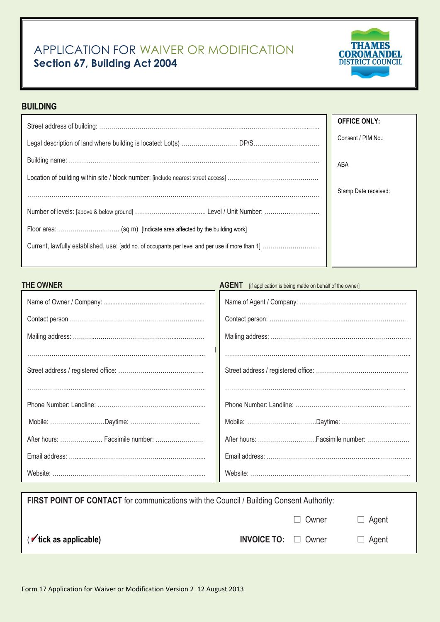## APPLICATION FOR WAIVER OR MODIFICATION **Section 67, Building Act 2004**



## **BUILDING**

| <b>OFFICE ONLY:</b>  |
|----------------------|
| Consent / PIM No.:   |
| ABA                  |
|                      |
| Stamp Date received: |
|                      |
|                      |
|                      |
|                      |

# **THE OWNER THE OWNER AGENT EXECUTES AGENT EXECUTES AGENT EXECUTES EXECUTES EXECUTES EXECUTES EXECUTES EXECUTES EXECUTES EXECUTES EXECUTES EXECUTES EXECUTES EXECUTES EXECUTES EXECUTES**

| After hours:  Facsimile number: | After hours: Facsimile number: |
|---------------------------------|--------------------------------|
|                                 |                                |
|                                 |                                |

| <b>FIRST POINT OF CONTACT</b> for communications with the Council / Building Consent Authority: |                                 |              |              |  |
|-------------------------------------------------------------------------------------------------|---------------------------------|--------------|--------------|--|
|                                                                                                 |                                 | $\Box$ Owner | $\Box$ Agent |  |
| $(\triangleright$ tick as applicable)                                                           | <b>INVOICE TO:</b> $\Box$ Owner |              | $\Box$ Agent |  |